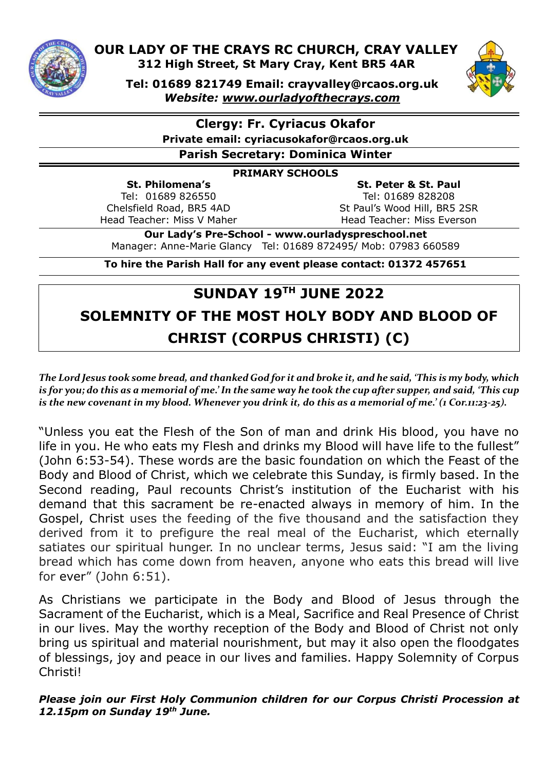

 **OUR LADY OF THE CRAYS RC CHURCH, CRAY VALLEY 312 High Street, St Mary Cray, Kent BR5 4AR** 



**Tel: 01689 821749 Email: crayvalley@rcaos.org.uk** *Website: [www.ourladyofthecrays.com](http://www.ourladyofthecrays.com/)*

**Clergy: Fr. Cyriacus Okafor**

**Private email: cyriacusokafor@rcaos.org.uk**

**Parish Secretary: Dominica Winter**

#### **PRIMARY SCHOOLS**

**St. Philomena's** Tel: 01689 826550 Chelsfield Road, BR5 4AD Head Teacher: Miss V Maher

**St. Peter & St. Paul** Tel: 01689 828208 St Paul's Wood Hill, BR5 2SR Head Teacher: Miss Everson

**Our Lady's Pre-School - www.ourladyspreschool.net** Manager: Anne-Marie Glancy Tel: 01689 872495/ Mob: 07983 660589

**To hire the Parish Hall for any event please contact: 01372 457651**

# **SUNDAY 19 TH JUNE 2022 SOLEMNITY OF THE MOST HOLY BODY AND BLOOD OF CHRIST (CORPUS CHRISTI) (C)**

*The Lord Jesus took some bread, and thanked God for it and broke it, and he said, 'This is my body, which is for you; do this as a memorial of me.' In the same way he took the cup after supper, and said, 'This cup is the new covenant in my blood. Whenever you drink it, do this as a memorial of me.' (1 Cor.11:23-25).*

"Unless you eat the Flesh of the Son of man and drink His blood, you have no life in you. He who eats my Flesh and drinks my Blood will have life to the fullest" (John 6:53-54). These words are the basic foundation on which the Feast of the Body and Blood of Christ, which we celebrate this Sunday, is firmly based. In the Second reading, Paul recounts Christ's institution of the Eucharist with his demand that this sacrament be re-enacted always in memory of him. In the Gospel, Christ uses the feeding of the five thousand and the satisfaction they derived from it to prefigure the real meal of the Eucharist, which eternally satiates our spiritual hunger. In no unclear terms, Jesus said: "I am the living bread which has come down from heaven, anyone who eats this bread will live for ever" (John 6:51).

As Christians we participate in the Body and Blood of Jesus through the Sacrament of the Eucharist, which is a Meal, Sacrifice and Real Presence of Christ in our lives. May the worthy reception of the Body and Blood of Christ not only bring us spiritual and material nourishment, but may it also open the floodgates of blessings, joy and peace in our lives and families. Happy Solemnity of Corpus Christi!

#### *Please join our First Holy Communion children for our Corpus Christi Procession at 12.15pm on Sunday 19th June.*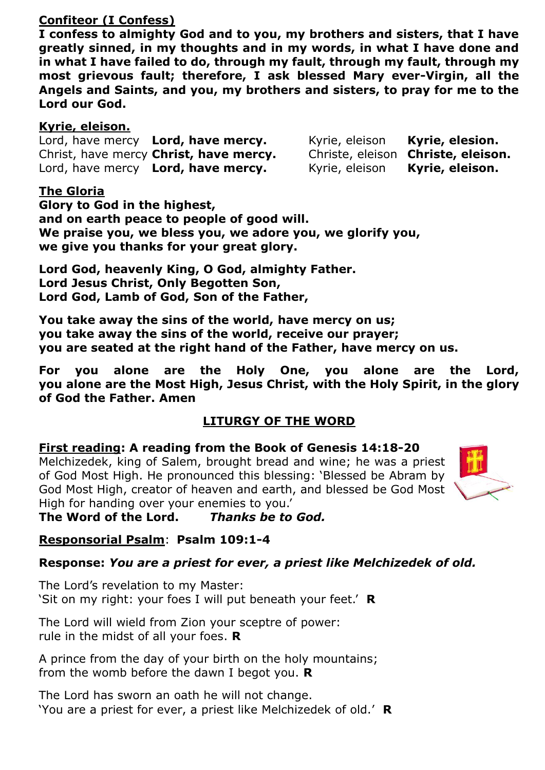# **Confiteor (I Confess)**

**I confess to almighty God and to you, my brothers and sisters, that I have greatly sinned, in my thoughts and in my words, in what I have done and in what I have failed to do, through my fault, through my fault, through my most grievous fault; therefore, I ask blessed Mary ever-Virgin, all the Angels and Saints, and you, my brothers and sisters, to pray for me to the Lord our God.**

## **Kyrie, eleison.**

Lord, have mercy **Lord, have mercy.** Kyrie, eleison **Kyrie, elesion.** Christ, have mercy **Christ, have mercy.** Christe, eleison **Christe, eleison.** Lord, have mercy **Lord, have mercy.** Kyrie, eleison **Kyrie, eleison.** 

# **The Gloria**

**Glory to God in the highest, and on earth peace to people of good will. We praise you, we bless you, we adore you, we glorify you, we give you thanks for your great glory.**

**Lord God, heavenly King, O God, almighty Father. Lord Jesus Christ, Only Begotten Son, Lord God, Lamb of God, Son of the Father,**

**You take away the sins of the world, have mercy on us; you take away the sins of the world, receive our prayer; you are seated at the right hand of the Father, have mercy on us.**

**For you alone are the Holy One, you alone are the Lord, you alone are the Most High, Jesus Christ, with the Holy Spirit, in the glory of God the Father. Amen**

# **LITURGY OF THE WORD**

# **First reading: A reading from the Book of Genesis 14:18-20**

Melchizedek, king of Salem, brought bread and wine; he was a priest of God Most High. He pronounced this blessing: 'Blessed be Abram by God Most High, creator of heaven and earth, and blessed be God Most High for handing over your enemies to you.'



**The Word of the Lord.** *Thanks be to God.*

# **Responsorial Psalm**: **Psalm 109:1-4**

# **Response:** *You are a priest for ever, a priest like Melchizedek of old.*

The Lord's revelation to my Master: 'Sit on my right: your foes I will put beneath your feet.' **R**

The Lord will wield from Zion your sceptre of power: rule in the midst of all your foes. **R**

A prince from the day of your birth on the holy mountains; from the womb before the dawn I begot you. **R**

The Lord has sworn an oath he will not change. 'You are a priest for ever, a priest like Melchizedek of old.' **R**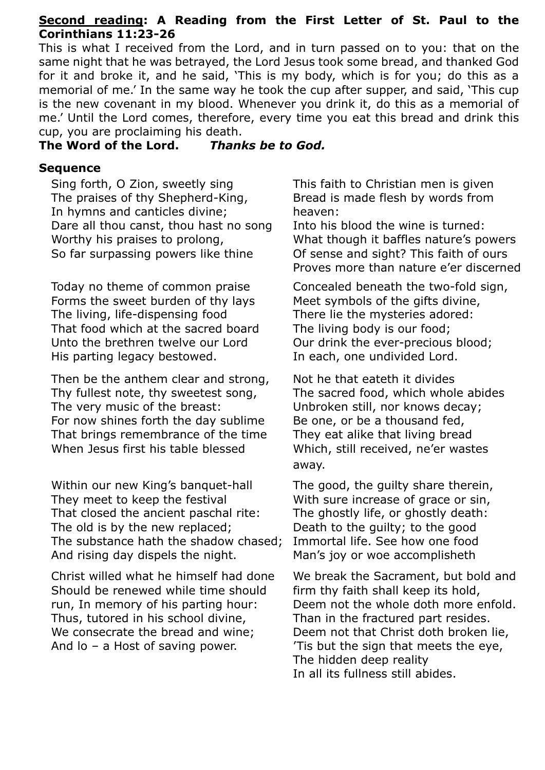### **Second reading: A Reading from the First Letter of St. Paul to the Corinthians 11:23-26**

This is what I received from the Lord, and in turn passed on to you: that on the same night that he was betrayed, the Lord Jesus took some bread, and thanked God for it and broke it, and he said, 'This is my body, which is for you; do this as a memorial of me.' In the same way he took the cup after supper, and said, 'This cup is the new covenant in my blood. Whenever you drink it, do this as a memorial of me.' Until the Lord comes, therefore, every time you eat this bread and drink this cup, you are proclaiming his death.

#### **The Word of the Lord.** *Thanks be to God.*

#### **Sequence**

Sing forth, O Zion, sweetly sing The praises of thy Shepherd-King, In hymns and canticles divine; Dare all thou canst, thou hast no song Worthy his praises to prolong, So far surpassing powers like thine

Today no theme of common praise Forms the sweet burden of thy lays The living, life-dispensing food That food which at the sacred board Unto the brethren twelve our Lord His parting legacy bestowed.

Then be the anthem clear and strong, Thy fullest note, thy sweetest song, The very music of the breast: For now shines forth the day sublime That brings remembrance of the time When Jesus first his table blessed

Within our new King's banquet-hall They meet to keep the festival That closed the ancient paschal rite: The old is by the new replaced; The substance hath the shadow chased; And rising day dispels the night.

Christ willed what he himself had done Should be renewed while time should run, In memory of his parting hour: Thus, tutored in his school divine, We consecrate the bread and wine; And lo – a Host of saving power.

This faith to Christian men is given Bread is made flesh by words from heaven:

Into his blood the wine is turned: What though it baffles nature's powers Of sense and sight? This faith of ours Proves more than nature e'er discerned

Concealed beneath the two-fold sign, Meet symbols of the gifts divine, There lie the mysteries adored: The living body is our food; Our drink the ever-precious blood; In each, one undivided Lord.

Not he that eateth it divides The sacred food, which whole abides Unbroken still, nor knows decay; Be one, or be a thousand fed, They eat alike that living bread Which, still received, ne'er wastes away.

The good, the guilty share therein, With sure increase of grace or sin, The ghostly life, or ghostly death: Death to the guilty; to the good Immortal life. See how one food Man's joy or woe accomplisheth

We break the Sacrament, but bold and firm thy faith shall keep its hold, Deem not the whole doth more enfold. Than in the fractured part resides. Deem not that Christ doth broken lie, 'Tis but the sign that meets the eye, The hidden deep reality In all its fullness still abides.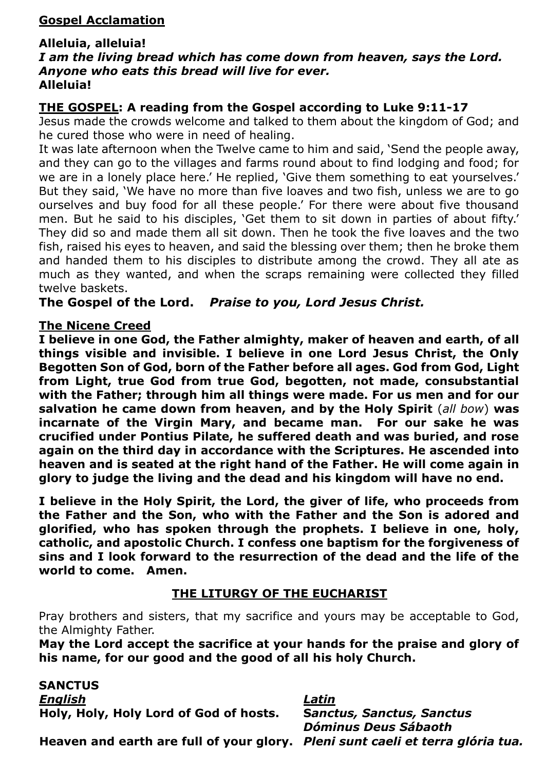# **Gospel Acclamation**

#### **Alleluia, alleluia!**

#### *I am the living bread which has come down from heaven, says the Lord. Anyone who eats this bread will live for ever.* **Alleluia!**

# **THE GOSPEL: A reading from the Gospel according to Luke 9:11-17**

Jesus made the crowds welcome and talked to them about the kingdom of God; and he cured those who were in need of healing.

It was late afternoon when the Twelve came to him and said, 'Send the people away, and they can go to the villages and farms round about to find lodging and food; for we are in a lonely place here.' He replied, 'Give them something to eat yourselves.' But they said, 'We have no more than five loaves and two fish, unless we are to go ourselves and buy food for all these people.' For there were about five thousand men. But he said to his disciples, 'Get them to sit down in parties of about fifty.' They did so and made them all sit down. Then he took the five loaves and the two fish, raised his eyes to heaven, and said the blessing over them; then he broke them and handed them to his disciples to distribute among the crowd. They all ate as much as they wanted, and when the scraps remaining were collected they filled twelve baskets.

**The Gospel of the Lord.** *Praise to you, Lord Jesus Christ.*

#### **The Nicene Creed**

**I believe in one God, the Father almighty, maker of heaven and earth, of all things visible and invisible. I believe in one Lord Jesus Christ, the Only Begotten Son of God, born of the Father before all ages. God from God, Light from Light, true God from true God, begotten, not made, consubstantial with the Father; through him all things were made. For us men and for our salvation he came down from heaven, and by the Holy Spirit** (*all bow*) **was incarnate of the Virgin Mary, and became man. For our sake he was crucified under Pontius Pilate, he suffered death and was buried, and rose again on the third day in accordance with the Scriptures. He ascended into heaven and is seated at the right hand of the Father. He will come again in glory to judge the living and the dead and his kingdom will have no end.** 

**I believe in the Holy Spirit, the Lord, the giver of life, who proceeds from the Father and the Son, who with the Father and the Son is adored and glorified, who has spoken through the prophets. I believe in one, holy, catholic, and apostolic Church. I confess one baptism for the forgiveness of sins and I look forward to the resurrection of the dead and the life of the world to come. Amen.**

### **THE LITURGY OF THE EUCHARIST**

Pray brothers and sisters, that my sacrifice and yours may be acceptable to God, the Almighty Father.

**May the Lord accept the sacrifice at your hands for the praise and glory of his name, for our good and the good of all his holy Church.**

**SANCTUS**  *English Latin* **Holy, Holy, Holy Lord of God of hosts. S***anctus, Sanctus, Sanctus Dóminus Deus Sábaoth* **Heaven and earth are full of your glory.** *Pleni sunt caeli et terra glória tua.*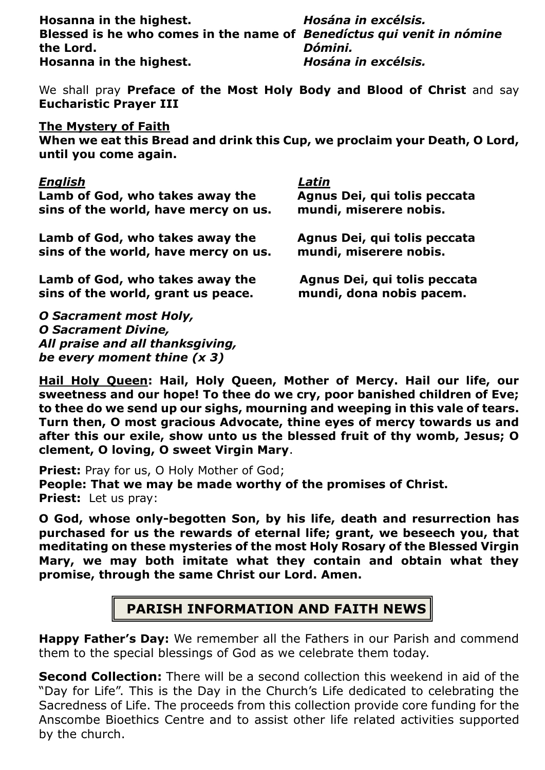**Hosanna in the highest.** *Hosána in excélsis.* Blessed is he who comes in the name of *Benedíctus qui venit in nómine* **the Lord.** *Dómini.* **Hosanna in the highest.** *Hosána in excélsis.*

We shall pray **Preface of the Most Holy Body and Blood of Christ** and say **Eucharistic Prayer III**

#### **The Mystery of Faith**

**When we eat this Bread and drink this Cup, we proclaim your Death, O Lord, until you come again.**

#### *English Latin*

| -------                                                                 | -----                                                    |
|-------------------------------------------------------------------------|----------------------------------------------------------|
| Lamb of God, who takes away the<br>sins of the world, have mercy on us. | Agnus Dei, qui tolis peccata<br>mundi, miserere nobis.   |
| Lamb of God, who takes away the<br>sins of the world, have mercy on us. | Agnus Dei, qui tolis peccata<br>mundi, miserere nobis.   |
| Lamb of God, who takes away the<br>sins of the world, grant us peace.   | Agnus Dei, qui tolis peccata<br>mundi, dona nobis pacem. |
| <b>O Sacrament most Holy,</b>                                           |                                                          |
| <b>O Sacrament Divine,</b>                                              |                                                          |
| All praise and all thanksgiving,                                        |                                                          |
| be every moment thine $(x 3)$                                           |                                                          |

**Hail Holy Queen: Hail, Holy Queen, Mother of Mercy. Hail our life, our sweetness and our hope! To thee do we cry, poor banished children of Eve; to thee do we send up our sighs, mourning and weeping in this vale of tears. Turn then, O most gracious Advocate, thine eyes of mercy towards us and after this our exile, show unto us the blessed fruit of thy womb, Jesus; O clement, O loving, O sweet Virgin Mary**.

**Priest: Pray for us, O Holy Mother of God; People: That we may be made worthy of the promises of Christ. Priest:** Let us pray:

**O God, whose only-begotten Son, by his life, death and resurrection has purchased for us the rewards of eternal life; grant, we beseech you, that meditating on these mysteries of the most Holy Rosary of the Blessed Virgin Mary, we may both imitate what they contain and obtain what they promise, through the same Christ our Lord. Amen.** 

# **PARISH INFORMATION AND FAITH NEWS**

**Happy Father's Day:** We remember all the Fathers in our Parish and commend them to the special blessings of God as we celebrate them today.

**Second Collection:** There will be a second collection this weekend in aid of the "Day for Life". This is the Day in the Church's Life dedicated to celebrating the Sacredness of Life. The proceeds from this collection provide core funding for the Anscombe Bioethics Centre and to assist other life related activities supported by the church.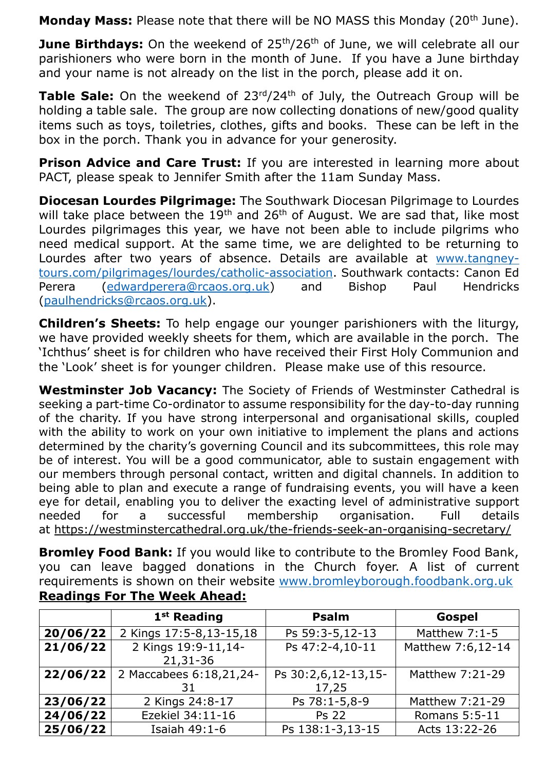**Monday Mass:** Please note that there will be NO MASS this Monday (20<sup>th</sup> June).

**June Birthdays:** On the weekend of 25<sup>th</sup>/26<sup>th</sup> of June, we will celebrate all our parishioners who were born in the month of June. If you have a June birthday and your name is not already on the list in the porch, please add it on.

**Table Sale:** On the weekend of 23<sup>rd</sup>/24<sup>th</sup> of July, the Outreach Group will be holding a table sale. The group are now collecting donations of new/good quality items such as toys, toiletries, clothes, gifts and books. These can be left in the box in the porch. Thank you in advance for your generosity.

**Prison Advice and Care Trust:** If you are interested in learning more about PACT, please speak to Jennifer Smith after the 11am Sunday Mass.

**Diocesan Lourdes Pilgrimage:** The Southwark Diocesan Pilgrimage to Lourdes will take place between the  $19<sup>th</sup>$  and 26<sup>th</sup> of August. We are sad that, like most Lourdes pilgrimages this year, we have not been able to include pilgrims who need medical support. At the same time, we are delighted to be returning to Lourdes after two years of absence. Details are available at [www.tangney](http://www.tangney-tours.com/pilgrimages/lourdes/catholic-association)[tours.com/pilgrimages/lourdes/catholic-association.](http://www.tangney-tours.com/pilgrimages/lourdes/catholic-association) Southwark contacts: Canon Ed Perera [\(edwardperera@rcaos.org.uk\)](mailto:edwardperera@rcaos.org.uk) and Bishop Paul Hendricks [\(paulhendricks@rcaos.org.uk\)](mailto:paulhendricks@rcaos.org.uk).

**Children's Sheets:** To help engage our younger parishioners with the liturgy, we have provided weekly sheets for them, which are available in the porch. The 'Ichthus' sheet is for children who have received their First Holy Communion and the 'Look' sheet is for younger children. Please make use of this resource.

**Westminster Job Vacancy:** The Society of Friends of Westminster Cathedral is seeking a part-time Co-ordinator to assume responsibility for the day-to-day running of the charity. If you have strong interpersonal and organisational skills, coupled with the ability to work on your own initiative to implement the plans and actions determined by the charity's governing Council and its subcommittees, this role may be of interest. You will be a good communicator, able to sustain engagement with our members through personal contact, written and digital channels. In addition to being able to plan and execute a range of fundraising events, you will have a keen eye for detail, enabling you to deliver the exacting level of administrative support needed for a successful membership organisation. Full details at <https://westminstercathedral.org.uk/the-friends-seek-an-organising-secretary/>

**Bromley Food Bank:** If you would like to contribute to the Bromley Food Bank, you can leave bagged donations in the Church foyer. A list of current requirements is shown on their website [www.bromleyborough.foodbank.org.uk](http://www.bromleyborough.foodbank.org.uk/) **Readings For The Week Ahead:**

|          | 1 <sup>st</sup> Reading         | Psalm                        | Gospel            |
|----------|---------------------------------|------------------------------|-------------------|
| 20/06/22 | 2 Kings 17:5-8,13-15,18         | Ps 59:3-5,12-13              | Matthew 7:1-5     |
| 21/06/22 | 2 Kings 19:9-11,14-<br>21,31-36 | Ps 47:2-4,10-11              | Matthew 7:6,12-14 |
| 22/06/22 | 2 Maccabees 6:18,21,24-<br>31   | Ps 30:2,6,12-13,15-<br>17,25 | Matthew 7:21-29   |
| 23/06/22 | 2 Kings 24:8-17                 | Ps 78:1-5,8-9                | Matthew 7:21-29   |
| 24/06/22 | Ezekiel 34:11-16                | <b>Ps 22</b>                 | Romans 5:5-11     |
| 25/06/22 | Isaiah 49:1-6                   | Ps 138:1-3,13-15             | Acts 13:22-26     |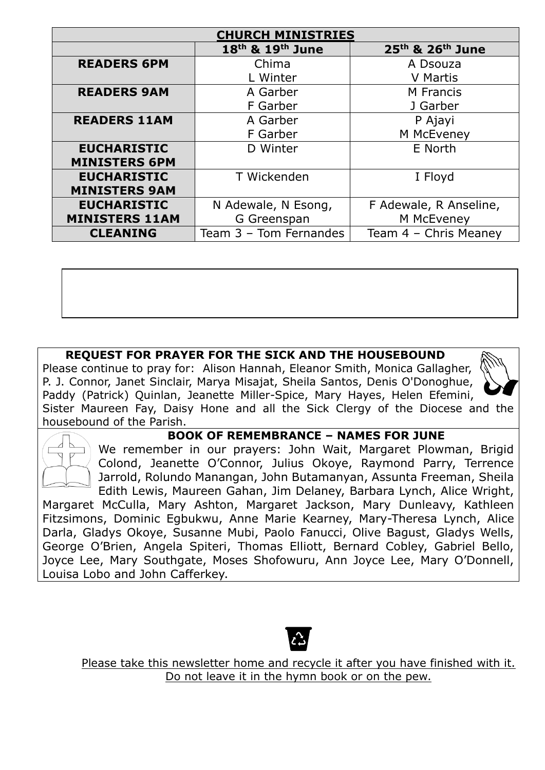| <b>CHURCH MINISTRIES</b> |                        |                        |  |  |
|--------------------------|------------------------|------------------------|--|--|
|                          | 18th & 19th June       | 25th & 26th June       |  |  |
| <b>READERS 6PM</b>       | Chima                  | A Dsouza               |  |  |
|                          | L Winter               | <b>V</b> Martis        |  |  |
| <b>READERS 9AM</b>       | A Garber               | M Francis              |  |  |
|                          | F Garber               | J Garber               |  |  |
| <b>READERS 11AM</b>      | A Garber               | P Ajayi                |  |  |
|                          | F Garber               | M McEveney             |  |  |
| <b>EUCHARISTIC</b>       | D Winter               | E North                |  |  |
| <b>MINISTERS 6PM</b>     |                        |                        |  |  |
| <b>EUCHARISTIC</b>       | T Wickenden            | I Floyd                |  |  |
| <b>MINISTERS 9AM</b>     |                        |                        |  |  |
| <b>EUCHARISTIC</b>       | N Adewale, N Esong,    | F Adewale, R Anseline, |  |  |
| <b>MINISTERS 11AM</b>    | G Greenspan            | M McEveney             |  |  |
| <b>CLEANING</b>          | Team 3 - Tom Fernandes | Team 4 - Chris Meaney  |  |  |

### **REQUEST FOR PRAYER FOR THE SICK AND THE HOUSEBOUND**

Please continue to pray for: Alison Hannah, Eleanor Smith, Monica Gallagher, P. J. Connor, Janet Sinclair, Marya Misajat, Sheila Santos, Denis O'Donoghue, Paddy (Patrick) Quinlan, Jeanette Miller-Spice, Mary Hayes, Helen Efemini, Sister Maureen Fay, Daisy Hone and all the Sick Clergy of the Diocese and the housebound of the Parish.



#### **BOOK OF REMEMBRANCE – NAMES FOR JUNE**

We remember in our prayers: John Wait, Margaret Plowman, Brigid Colond, Jeanette O'Connor, Julius Okoye, Raymond Parry, Terrence Jarrold, Rolundo Manangan, John Butamanyan, Assunta Freeman, Sheila Edith Lewis, Maureen Gahan, Jim Delaney, Barbara Lynch, Alice Wright,

Margaret McCulla, Mary Ashton, Margaret Jackson, Mary Dunleavy, Kathleen Fitzsimons, Dominic Egbukwu, Anne Marie Kearney, Mary-Theresa Lynch, Alice Darla, Gladys Okoye, Susanne Mubi, Paolo Fanucci, Olive Bagust, Gladys Wells, George O'Brien, Angela Spiteri, Thomas Elliott, Bernard Cobley, Gabriel Bello, Joyce Lee, Mary Southgate, Moses Shofowuru, Ann Joyce Lee, Mary O'Donnell, Louisa Lobo and John Cafferkey.



Please take this newsletter home and recycle it after you have finished with it. Do not leave it in the hymn book or on the pew.